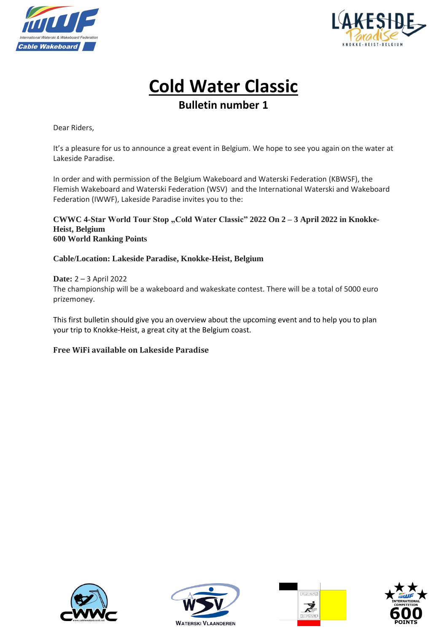



# **Cold Water Classic**

**Bulletin number 1**

Dear Riders,

It's a pleasure for us to announce a great event in Belgium. We hope to see you again on the water at Lakeside Paradise.

In order and with permission of the Belgium Wakeboard and Waterski Federation (KBWSF), the Flemish Wakeboard and Waterski Federation (WSV) and the International Waterski and Wakeboard Federation (IWWF), Lakeside Paradise invites you to the:

#### CWWC 4-Star World Tour Stop "Cold Water Classic" 2022 On 2 – 3 April 2022 in Knokke-**Heist, Belgium 600 World Ranking Points**

#### **Cable/Location: Lakeside Paradise, Knokke-Heist, Belgium**

**Date:** 2 – 3 April 2022 The championship will be a wakeboard and wakeskate contest. There will be a total of 5000 euro prizemoney.

This first bulletin should give you an overview about the upcoming event and to help you to plan your trip to Knokke-Heist, a great city at the Belgium coast.

#### **Free WiFi available on Lakeside Paradise**







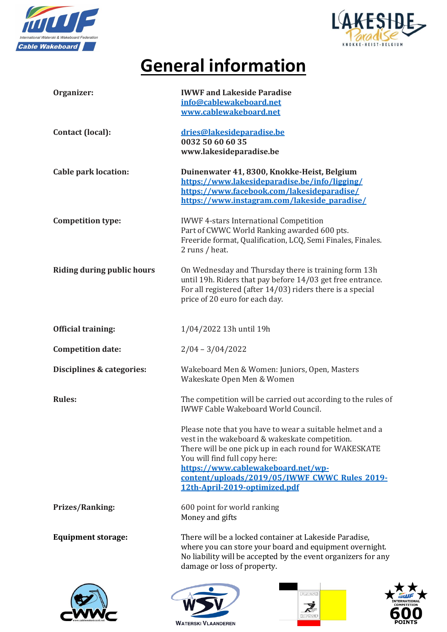



# **General information**

| Organizer:                        | <b>IWWF and Lakeside Paradise</b><br>info@cablewakeboard.net<br>www.cablewakeboard.net                                                                                                                                                                                                                                        |
|-----------------------------------|-------------------------------------------------------------------------------------------------------------------------------------------------------------------------------------------------------------------------------------------------------------------------------------------------------------------------------|
| Contact (local):                  | dries@lakesideparadise.be<br>0032 50 60 60 35<br>www.lakesideparadise.be                                                                                                                                                                                                                                                      |
| <b>Cable park location:</b>       | Duinenwater 41, 8300, Knokke-Heist, Belgium<br>https://www.lakesideparadise.be/info/ligging/<br>https://www.facebook.com/lakesideparadise/<br>https://www.instagram.com/lakeside paradise/                                                                                                                                    |
| <b>Competition type:</b>          | <b>IWWF 4-stars International Competition</b><br>Part of CWWC World Ranking awarded 600 pts.<br>Freeride format, Qualification, LCQ, Semi Finales, Finales.<br>2 runs / heat.                                                                                                                                                 |
| <b>Riding during public hours</b> | On Wednesday and Thursday there is training form 13h<br>until 19h. Riders that pay before 14/03 get free entrance.<br>For all registered (after 14/03) riders there is a special<br>price of 20 euro for each day.                                                                                                            |
| <b>Official training:</b>         | 1/04/2022 13h until 19h                                                                                                                                                                                                                                                                                                       |
| <b>Competition date:</b>          | $2/04 - 3/04/2022$                                                                                                                                                                                                                                                                                                            |
| Disciplines & categories:         | Wakeboard Men & Women: Juniors, Open, Masters<br>Wakeskate Open Men & Women                                                                                                                                                                                                                                                   |
| <b>Rules:</b>                     | The competition will be carried out according to the rules of<br><b>IWWF Cable Wakeboard World Council.</b>                                                                                                                                                                                                                   |
|                                   | Please note that you have to wear a suitable helmet and a<br>vest in the wakeboard & wakeskate competition.<br>There will be one pick up in each round for WAKESKATE<br>You will find full copy here:<br>https://www.cablewakeboard.net/wp-<br>content/uploads/2019/05/IWWF CWWC Rules 2019-<br>12th-April-2019-optimized.pdf |
| <b>Prizes/Ranking:</b>            | 600 point for world ranking<br>Money and gifts                                                                                                                                                                                                                                                                                |
| <b>Equipment storage:</b>         | There will be a locked container at Lakeside Paradise,<br>where you can store your board and equipment overnight.<br>No liability will be accepted by the event organizers for any<br>damage or loss of property.                                                                                                             |
|                                   |                                                                                                                                                                                                                                                                                                                               |







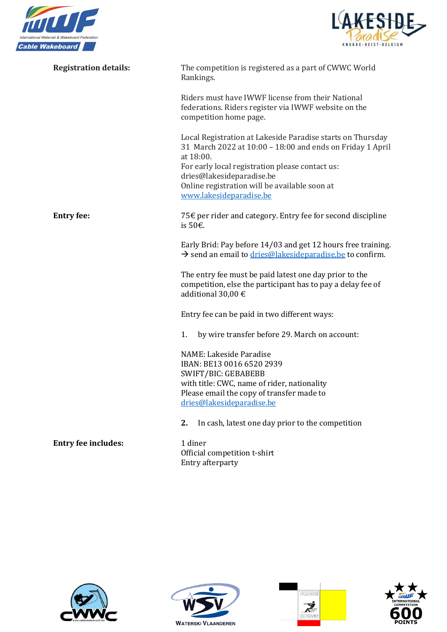



| <b>Registration details:</b> | The competition is registered as a part of CWWC World<br>Rankings.                                                                                                                                                                                                    |
|------------------------------|-----------------------------------------------------------------------------------------------------------------------------------------------------------------------------------------------------------------------------------------------------------------------|
|                              | Riders must have IWWF license from their National<br>federations. Riders register via IWWF website on the<br>competition home page.                                                                                                                                   |
|                              | Local Registration at Lakeside Paradise starts on Thursday<br>31 March 2022 at 10:00 - 18:00 and ends on Friday 1 April<br>at 18:00.<br>For early local registration please contact us:<br>dries@lakesideparadise.be<br>Online registration will be available soon at |
|                              | www.lakesideparadise.be                                                                                                                                                                                                                                               |
| <b>Entry fee:</b>            | 75€ per rider and category. Entry fee for second discipline<br>is 50€.                                                                                                                                                                                                |
|                              | Early Brid: Pay before 14/03 and get 12 hours free training.<br>$\rightarrow$ send an email to dries@lakesideparadise.be to confirm.                                                                                                                                  |
|                              | The entry fee must be paid latest one day prior to the<br>competition, else the participant has to pay a delay fee of<br>additional 30,00 $\epsilon$                                                                                                                  |
|                              | Entry fee can be paid in two different ways:                                                                                                                                                                                                                          |
|                              | by wire transfer before 29. March on account:<br>1.                                                                                                                                                                                                                   |
|                              | NAME: Lakeside Paradise<br>IBAN: BE13 0016 6520 2939<br>SWIFT/BIC: GEBABEBB                                                                                                                                                                                           |
|                              | with title: CWC, name of rider, nationality<br>Please email the copy of transfer made to                                                                                                                                                                              |
|                              | dries@lakesideparadise.be                                                                                                                                                                                                                                             |
|                              | In cash, latest one day prior to the competition<br>2.                                                                                                                                                                                                                |
| <b>Entry fee includes:</b>   | 1 diner<br>Official competition t-shirt<br>Entry afterparty                                                                                                                                                                                                           |







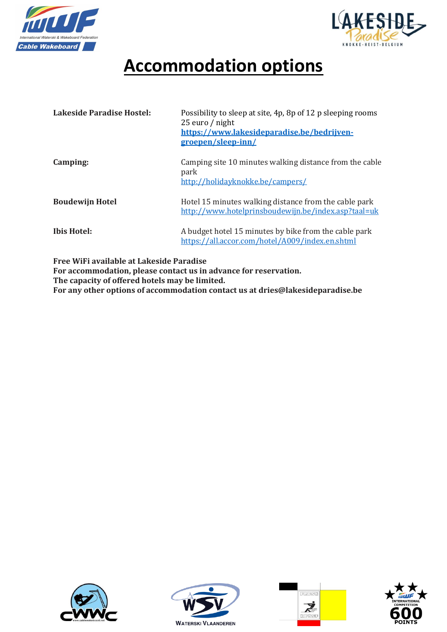



### **Accommodation options**

| Lakeside Paradise Hostel: | Possibility to sleep at site, 4p, 8p of 12 p sleeping rooms<br>25 euro / night<br>https://www.lakesideparadise.be/bedrijven-<br>groepen/sleep-inn/ |
|---------------------------|----------------------------------------------------------------------------------------------------------------------------------------------------|
| Camping:                  | Camping site 10 minutes walking distance from the cable<br>park<br>http://holidayknokke.be/campers/                                                |
| <b>Boudewijn Hotel</b>    | Hotel 15 minutes walking distance from the cable park<br>http://www.hotelprinsboudewijn.be/index.asp?taal=uk                                       |
| <b>Ibis Hotel:</b>        | A budget hotel 15 minutes by bike from the cable park<br>https://all.accor.com/hotel/A009/index.en.shtml                                           |

**Free WiFi available at Lakeside Paradise**

**For accommodation, please contact us in advance for reservation. The capacity of offered hotels may be limited. For any other options of accommodation contact us at dries@lakesideparadise.be**







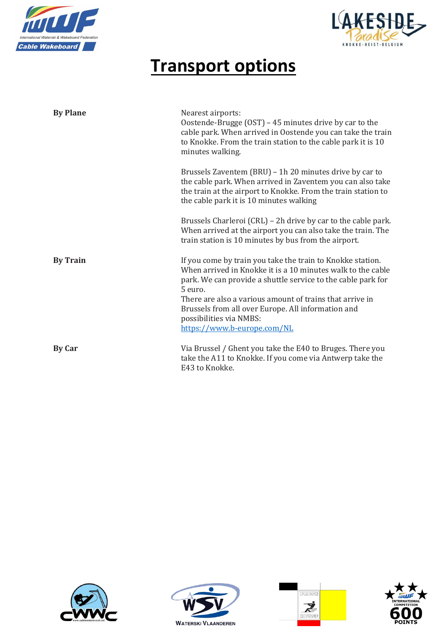



### **Transport options**

| <b>By Plane</b> | Nearest airports:<br>Oostende-Brugge (OST) - 45 minutes drive by car to the<br>cable park. When arrived in Oostende you can take the train<br>to Knokke. From the train station to the cable park it is 10<br>minutes walking.                                                                                                                                                   |
|-----------------|----------------------------------------------------------------------------------------------------------------------------------------------------------------------------------------------------------------------------------------------------------------------------------------------------------------------------------------------------------------------------------|
|                 | Brussels Zaventem (BRU) - 1h 20 minutes drive by car to<br>the cable park. When arrived in Zaventem you can also take<br>the train at the airport to Knokke. From the train station to<br>the cable park it is 10 minutes walking                                                                                                                                                |
|                 | Brussels Charleroi (CRL) – 2h drive by car to the cable park.<br>When arrived at the airport you can also take the train. The<br>train station is 10 minutes by bus from the airport.                                                                                                                                                                                            |
| <b>By Train</b> | If you come by train you take the train to Knokke station.<br>When arrived in Knokke it is a 10 minutes walk to the cable<br>park. We can provide a shuttle service to the cable park for<br>5 euro.<br>There are also a various amount of trains that arrive in<br>Brussels from all over Europe. All information and<br>possibilities via NMBS:<br>https://www.b-europe.com/NL |
| <b>By Car</b>   | Via Brussel / Ghent you take the E40 to Bruges. There you<br>take the A11 to Knokke. If you come via Antwerp take the<br>E43 to Knokke.                                                                                                                                                                                                                                          |







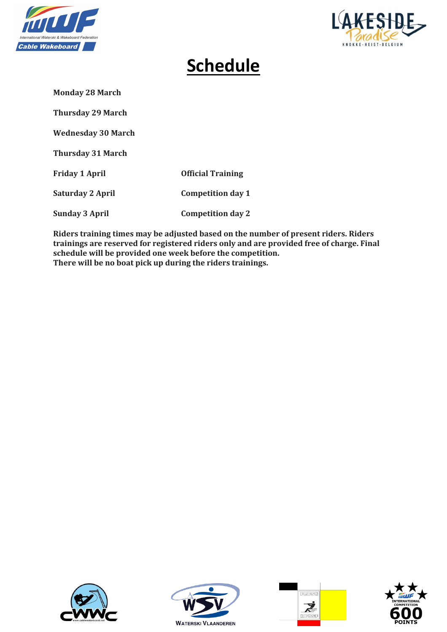



### **Schedule**

**Monday 28 March**

**Thursday 29 March**

**Wednesday 30 March**

**Thursday 31 March**

**Friday 1 April Official Training Saturday 2 April Competition day 1 Sunday 3 April Competition day 2**

**Riders training times may be adjusted based on the number of present riders. Riders trainings are reserved for registered riders only and are provided free of charge. Final schedule will be provided one week before the competition. There will be no boat pick up during the riders trainings.** 







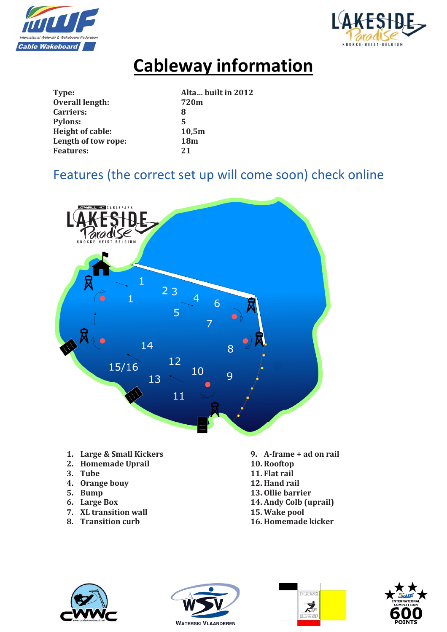



# **Cableway information**

| Type:                   | Alta built in 2012 |
|-------------------------|--------------------|
| <b>Overall length:</b>  | 720m               |
| Carriers:               | 8                  |
| <b>Pylons:</b>          | 5                  |
| <b>Height of cable:</b> | 10,5m              |
| Length of tow rope:     | <b>18m</b>         |
| <b>Features:</b>        | 21                 |

#### Features (the correct set up will come soon) check online



#### **1. Large & Small Kickers**

- **2. Homemade Uprail**
- **3. Tube**
- **4. Orange bouy**
- **5. Bump**
- **6. Large Box**
- **7. XL transition wall**
- **8. Transition curb**
- **9. A-frame + ad on rail**
- **10. Rooftop**
- **11. Flat rail**
- **12. Hand rail 13. Ollie barrier**
- **14. Andy Colb (uprail)**
- **15. Wake pool**
- **16. Homemade kicker**







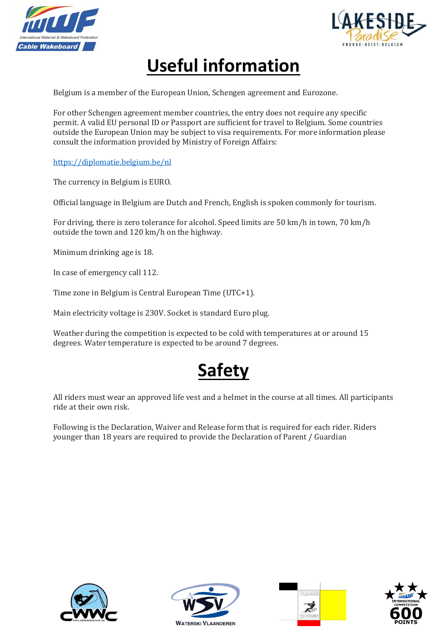



### **Useful information**

Belgium is a member of the European Union, Schengen agreement and Eurozone.

For other Schengen agreement member countries, the entry does not require any specific permit. A valid EU personal ID or Passport are sufficient for travel to Belgium. Some countries outside the European Union may be subject to visa requirements. For more information please consult the information provided by Ministry of Foreign Affairs:

<https://diplomatie.belgium.be/nl>

The currency in Belgium is EURO.

Official language in Belgium are Dutch and French, English is spoken commonly for tourism.

For driving, there is zero tolerance for alcohol. Speed limits are 50 km/h in town, 70 km/h outside the town and 120 km/h on the highway.

Minimum drinking age is 18.

In case of emergency call 112.

Time zone in Belgium is Central European Time (UTC+1).

Main electricity voltage is 230V. Socket is standard Euro plug.

Weather during the competition is expected to be cold with temperatures at or around 15 degrees. Water temperature is expected to be around 7 degrees.



All riders must wear an approved life vest and a helmet in the course at all times. All participants ride at their own risk.

Following is the Declaration, Waiver and Release form that is required for each rider. Riders younger than 18 years are required to provide the Declaration of Parent / Guardian







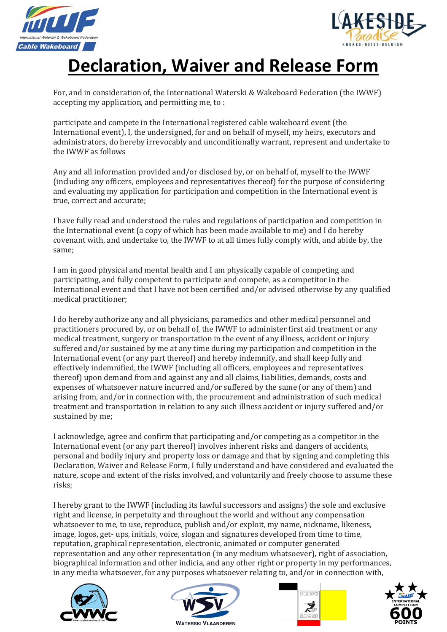



### **Declaration, Waiver and Release Form**

For, and in consideration of, the International Waterski & Wakeboard Federation (the IWWF) accepting my application, and permitting me, to :

participate and compete in the International registered cable wakeboard event (the International event), I, the undersigned, for and on behalf of myself, my heirs, executors and administrators, do hereby irrevocably and unconditionally warrant, represent and undertake to the IWWF as follows

Any and all information provided and/or disclosed by, or on behalf of, myself to the IWWF (including any officers, employees and representatives thereof) for the purpose of considering and evaluating my application for participation and competition in the International event is true, correct and accurate;

I have fully read and understood the rules and regulations of participation and competition in the International event (a copy of which has been made available to me) and I do hereby covenant with, and undertake to, the IWWF to at all times fully comply with, and abide by, the same;

I am in good physical and mental health and I am physically capable of competing and participating, and fully competent to participate and compete, as a competitor in the International event and that I have not been certified and/or advised otherwise by any qualified medical practitioner;

I do hereby authorize any and all physicians, paramedics and other medical personnel and practitioners procured by, or on behalf of, the IWWF to administer first aid treatment or any medical treatment, surgery or transportation in the event of any illness, accident or injury suffered and/or sustained by me at any time during my participation and competition in the International event (or any part thereof) and hereby indemnify, and shall keep fully and effectively indemnified, the IWWF (including all officers, employees and representatives thereof) upon demand from and against any and all claims, liabilities, demands, costs and expenses of whatsoever nature incurred and/or suffered by the same (or any of them) and arising from, and/or in connection with, the procurement and administration of such medical treatment and transportation in relation to any such illness accident or injury suffered and/or sustained by me;

I acknowledge, agree and confirm that participating and/or competing as a competitor in the International event (or any part thereof) involves inherent risks and dangers of accidents, personal and bodily injury and property loss or damage and that by signing and completing this Declaration, Waiver and Release Form, I fully understand and have considered and evaluated the nature, scope and extent of the risks involved, and voluntarily and freely choose to assume these risks;

I hereby grant to the IWWF (including its lawful successors and assigns) the sole and exclusive right and license, in perpetuity and throughout the world and without any compensation whatsoever to me, to use, reproduce, publish and/or exploit, my name, nickname, likeness, image, logos, get- ups, initials, voice, slogan and signatures developed from time to time, reputation, graphical representation, electronic, animated or computer generated representation and any other representation (in any medium whatsoever), right of association, biographical information and other indicia, and any other right or property in my performances, in any media whatsoever, for any purposes whatsoever relating to, and/or in connection with,







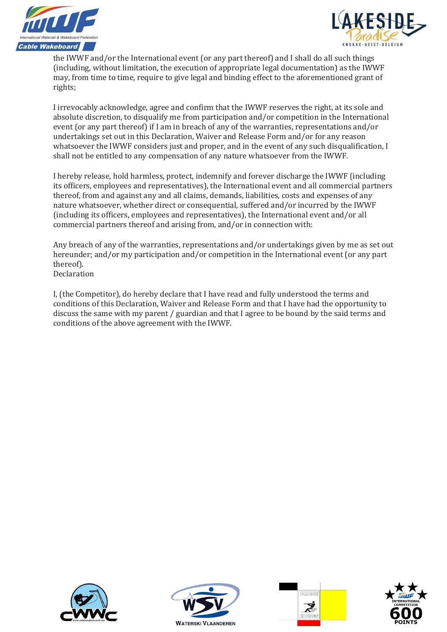



the IWWF and/or the International event (or any part thereof) and I shall do all such things (including, without limitation, the execution of appropriate legal documentation) as the IWWF may, from time to time, require to give legal and binding effect to the aforementioned grant of rights;

I irrevocably acknowledge, agree and confirm that the IWWF reserves the right, at its sole and absolute discretion, to disqualify me from participation and/or competition in the International event (or any part thereof) if I am in breach of any of the warranties, representations and/or undertakings set out in this Declaration, Waiver and Release Form and/or for any reason whatsoever the IWWF considers just and proper, and in the event of any such disqualification, I shall not be entitled to any compensation of any nature whatsoever from the IWWF.

I hereby release, hold harmless, protect, indemnify and forever discharge the IWWF (including its officers, employees and representatives), the International event and all commercial partners thereof, from and against any and all claims, demands, liabilities, costs and expenses of any nature whatsoever, whether direct or consequential, suffered and/or incurred by the IWWF (including its officers, employees and representatives), the International event and/or all commercial partners thereof and arising from, and/or in connection with:

Any breach of any of the warranties, representations and/or undertakings given by me as set out hereunder; and/or my participation and/or competition in the International event (or any part thereof). Declaration

I, (the Competitor), do hereby declare that I have read and fully understood the terms and conditions of this Declaration, Waiver and Release Form and that I have had the opportunity to discuss the same with my parent / guardian and that I agree to be bound by the said terms and conditions of the above agreement with the IWWF.